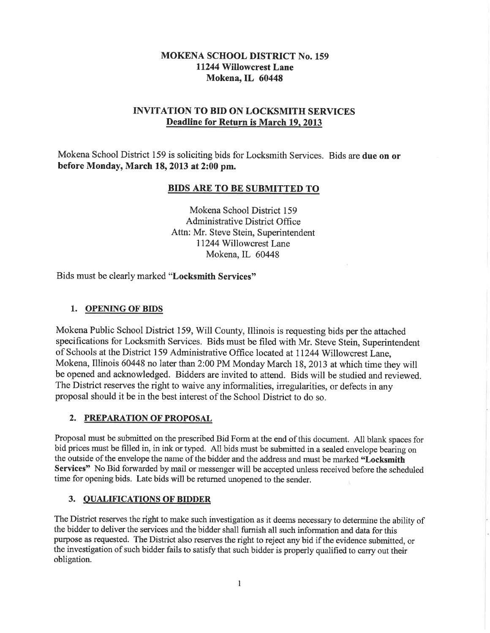### MOKENA SCHOOL DISTRICT No. 159 11244 Willowcrest Lane Mokena, IL 60448

### INVITATION TO BID ON LOCKSMITH SERVICES Deadline for Return is March 19.2013

Mokena School District 159 is soliciting bids for Locksmith Services. Bids are due on or before Monday, March 18, 2013 at 2:00 pm.

#### BIDS ARE TO BE SUBMITTED TO

Mokena School District 159 Administrative District Office Attn: Mr. Steve Stein, Superintendent 11244 Willowcrest Lane Mokena, IL <sup>60448</sup>

Bids must be clearly marked "Locksmith Services"

#### 1. OPENING OF BIDS

Mokena Public School District 159, Will County, Illinois is requesting bids per the attached specifications for Locksmith Services. Bids must be filed with Mr. Steve Stein, Superintendent of Schools at the District 159 Administrative Office located at 11244 WillowcrestLane, Mokena, Illinois 60448 no later than 2:00 PM Monday March 18,2073 at which time they will be opened and acknowledged. Bidders are invited to attend. Bids will be studied and reviewed. The District reserves the right to waive any informalities, irregularities, or defects in any proposal should it be in the best interest of the School District to do so.

#### 2. PREPARATION OF PROPOSAL

Proposal must be submitted on the prescribed Bid Form at the end of this document. All blank spaces for bid prices must be filled in, in ink or typed. All bids must be submitted in a sealed envelope bearing on the outside of the envelope the name of the bidder and the address and must be marked "Locksmith Services" No Bid forwarded by mail or messenger will be accepted unless received before the scheduled time for opening bids. Late bids will be retumed unopened to the sender.

#### 3. QUALIFICATIONS OF BIDDER

The District reserves the right to make such investigation as it deems necessary to determine the ability of the bidder to deliver the services and the bidder shall fumish all such information and data for this purpose as requested. The District also reserves the right to reject any bid if the evidence submitted, or the investigation of such bidder fails to satisfy that such bidder is properly qualified to carry out their obligation.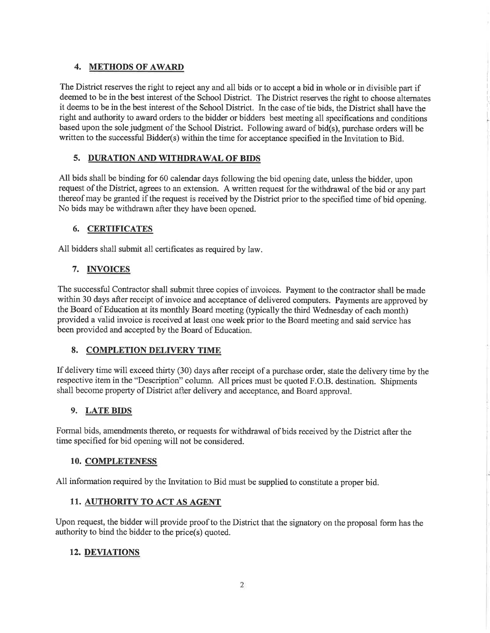#### 4. METHODS OF AWARD

The District reserves the right to reject any and all bids or to accept a bid in whole or in divisible part if deemed to be in the best interest of the School District. The District reserves the right to choose altemates it deems to be in the best interest of the School District. In the case of tie bids, the District shall have the right and authority to award orders to the bidder or bidders best meeting all specifications and conditions based upon the sole judgment of the School District. Following award of bid(s), purchase orders will be written to the successful Bidder(s) within the time for acceptance specified in the Invitation to Bid.

#### 5. DURATION AND WITHDRAWAL OF BIDS

All bids shall be binding for 60 calendar days following the bid opening date, unless the bidder, upon request of the District, agrees to an extension. A written request for the withdrawal of the bid or any part thereof may be granted if the request is received by the District prior to the specified time of bid opening. No bids may be withdrawn after they have been opened.

#### 6. CERTIFICATES

All bidders shall submit all certificates as required by law.

#### 7. INVOICES

The successful Contractor shall submit three copies of invoices. Payment to the contractor shall be made within 30 days after receipt of invoice and acceptance of delivered computers. Payments are approved by the Board of Education at its monthly Board meeting (typically the third Wednesday of each month) provided a valid invoice is received at least one week prior to the Board meeting and said service has been provided and accepted by the Board of Education.

#### 8. COMPLETION DELfVERY TIME

If delivery time will exceed thirty (30) days after receipt of a purchase order, state the delivery time by the respective item in the "Description" column. All prices must be quoted F.O.B. destination. Shipments shall become property of District after delivery and acceptance, and Board approval.

#### 9. LATE BIDS

Formal bids, amendments thereto, or requests for withdrawal of bids received by the District after the time specified for bid opening will not be considered.

#### 10. COMPLETENESS

All information required by the Invitation to Bid must be supplied to constitute a proper bid.

#### 11. AUTHORITY TO ACT AS AGENT

Upon request, the bidder will provide proof to the District that the signatory on the proposal form has the authority to bind the bidder to the price(s) quoted.

#### 12. DEVIATIONS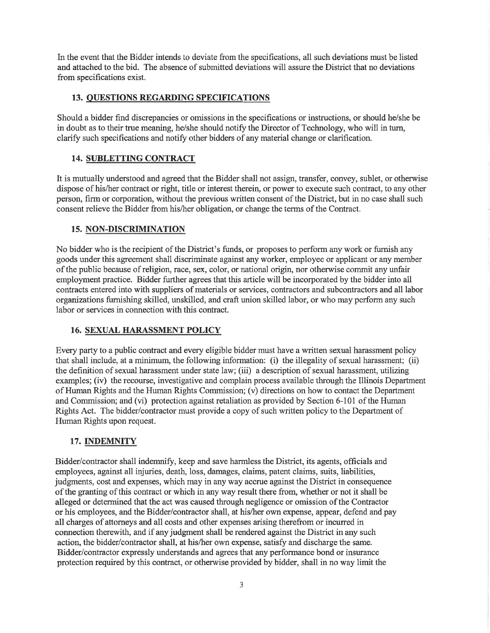In the event that the Bidder intends to deviate from the specifications, all such deviations must be listed and attached to the bid. The absence of submitted deviations will assure the District that no deviations from specifications exist.

#### 13. OUESTIONS REGARDING SPECIFICATIONS

Should a bidder find discrepancies or omissions in the specifications or instructions, or should he/she be in doubt as to their true meaning, he/she should notify the Director of Technology, who will in turn, clariff such specifications and notiff other bidders of any material change or clarification.

#### 14. SUBLETTING CONTRACT

It is mutually understood and agreed that the Bidder shall not assign, transfer, convey, sublet, or otherwise dispose of his/her contract or right, title or interest therein, or power to execute such contract, to any other person, firm or corporation, without the previous written consent of the District, but in no case shall such consent relieve the Bidder from his/her obligation, or change the terms of the Contract.

#### 15. NON.DISCRIMINATION

No bidder who is the recipient of the District's funds, or proposes to perform any work or fumish any goods under this agreement shall discriminate against any worker, employee or applicant or any member of the public because of religion, race, sex, color, or national origin, nor otherwise commit any unfair employment practice. Bidder further agrees that this article will be incorporated by the bidder into all contracts entered into with suppliers of materials or services, contractors and subcontractors and all labor organizations furnishing skilled, unskilled, and craft union skilled labor, or who may perform any such labor or services in connection with this contract.

#### 16. SEXUAL HARASSMENT POLICY

Every party to a public contract and every eligible bidder must have a written sexual harassment policy that shall include, at a minimum, the following information: (i) the illegality of sexual harassment; (ii) the definition of sexual harassment under state law; (iii) a description of sexual harassment, utilizing examples; (iv) the recourse, investigative and complain process available through the Illinois Department of Human Rights and the Human Rights Commission; (v) directions on how to contact the Department and Commission; and (vi) protection against retaliation as provided by Section 6-101 of the Human Rights Act. The bidder/contractor must provide a copy of such written policy to the Department of Human Rights upon request.

#### 17. INDEMNITY

Bidder/contractor shall indemnify, keep and save harmless the District, its agents, officials and employees, against all injuries, death, loss, damages, claims, patent claims, suits, liabilities, judgments, cost and expenses, which may in any way accrue against the District in consequence of the granting of this contract or which in any way result there from, whether or not it shall be alleged or determined that the act was caused through negligence or omission of the Contractor or his employees, and the Bidder/contractor shall, at his/her own expense, appear, defend and pay all charges of attorneys and all costs and other expenses arising therefrom or incurred in connection therewith, and if any judgment shall be rendered against the District in any such action, the bidder/contractor shall, at his/her own expense, satisfy and discharge the same. Bidder/contractor expressly understands and agrees that any performance bond or insurance protection required by this contract, or otherwise provided by bidder, shall in no way limit the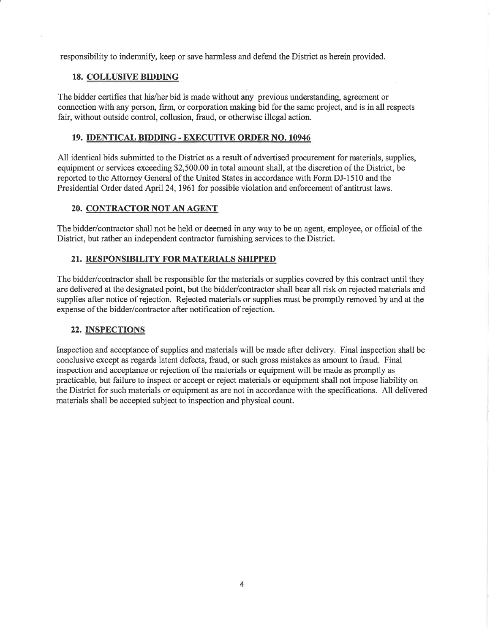responsibility to indemniff, keep or save harmless and defend the District as herein provided.

#### 18. COLLUSIVE BIDDING

The bidder certifies that his/her bid is made without any previous understanding, agreement or connection with any person, frm, or corporation making bid for the same project, and is in all respects fair, without outside control, collusion, fraud, or otherwise illegal action.

#### 19. IDENTICAL BIDDING. EXECUTIVE ORDER NO. 10946

All identical bids submitted to the District as a result of advertised procurement for materials, supplies, equipment or services exceeding \$2,500.00 in total amount shall, at the discretion of the District, be reported to the Attomey General of the United States in accordance with Form DJ-1510 and the Presidential Order dated April 24,1961 for possible violation and enforcement of antitrust laws.

#### 20. CONTRACTOR NOT AN AGENT

The bidder/contractor shall not be held or deemed in any way to be an agent, employee, or official of the District, but rather an independent contractor furnishing services to the District.

#### 21. RESPONSIBILITY FOR MATERIALS SHIPPED

The bidder/contractor shall be responsible for the materials or supplies covered by this contract until they are delivered at the designated point, but the bidder/contractor shall bear all risk on rejected materials and supplies after notice of rejection. Rejected materials or supplies must be promptly removed by and at the expense of the bidder/contractor after notification of rejection.

#### 22. INSPECTIONS

Inspection and acceptance of supplies and materials will be made after delivery. Final inspection shall be conclusive except as regards latent defects, fraud, or such gross mistakes as amount to fraud. Final inspection and acceptance or rejection of the materials or equipment will be made as promptly as practicable, but failure to inspect or accept or reject materials or equipment shall not impose liability on the District for such materials or equipment as are not in accordance with the specifications. All delivered materials shall be accepted subject to inspection and physical count.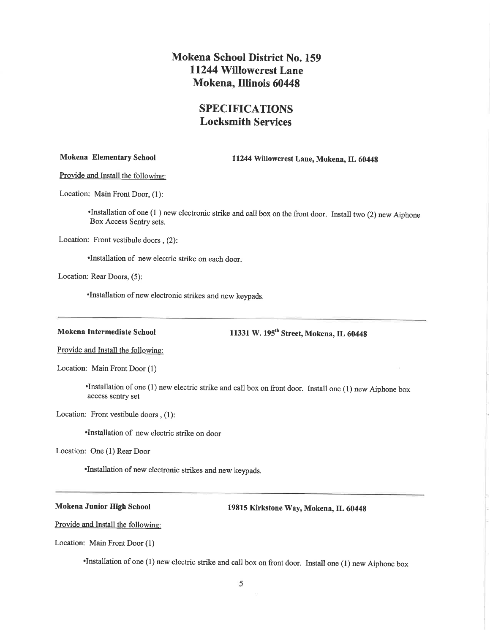## SPECIFICATIONS Locksmith Services

Mokena Elementary School 11244 Willowcrest Lane, Mokena, IL 6044g

Provide and Install the following:

Location: Main Front Door, (1):

'Installation of one (l ) new electronic strike and call box on the front door. Install two (2) new Aiphone Box Access Sentry sets.

Location: Front vestibule doors , (2):

.Installation of new electric strike on each door.

Location: Rear Doors, (5):

.Installation ofnew electronic strikes and new keypads.

Mokena Intermediate School 11331 W. 195<sup>th</sup> Street, Mokena, IL 60448

Provide and Install the followine:

Location: Main Front Door (l)

'Installation of one ( <sup>I</sup>) new electric strike and call box on front door. Install one ( I ) new Aiphone box access sentry set

Location: Front vestibule doors , (1):

.Installation of new electric strike on door

Location: One (l) Rear Door

.Installation ofnew electronic strikes and new keypads.

Mokena Junior High School 19815 Kirkstone Way, Mokena, IL 60448

Provide and Install the following:

Location: Main Front Door (l)

'Installation ofone (l) new electric strike and call box on front door. Install one (l) new Aiphone box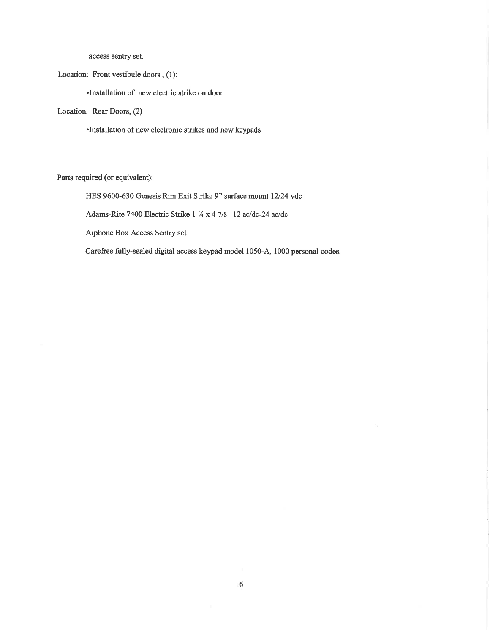access sentry set.

Location: Front vestibule doors, (1):

·Installation of new electric strike on door

Location: Rear Doors, (2)

·Installation of new electronic strikes and new keypads

### Parts required (or equivalent):

HES 9600-630 Genesis Rim Exit Strike 9" surface mount 12/24 vdc

Adams-Rite 7400 Electric Strike 1 ¼ x 4 7/8 12 ac/dc-24 ac/dc

Aiphone Box Access Sentry set

Carefree fully-sealed digital access keypad model 1050-A, 1000 personal codes.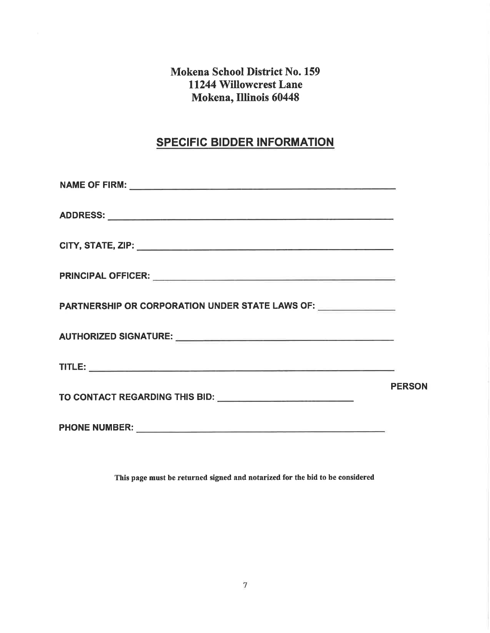# **SPECIFIC BIDDER INFORMATION**

| PARTNERSHIP OR CORPORATION UNDER STATE LAWS OF: _____________                                                                                                                                                                  |               |
|--------------------------------------------------------------------------------------------------------------------------------------------------------------------------------------------------------------------------------|---------------|
| AUTHORIZED SIGNATURE: University of the contract of the contract of the contract of the contract of the contract of the contract of the contract of the contract of the contract of the contract of the contract of the contra |               |
|                                                                                                                                                                                                                                |               |
| TO CONTACT REGARDING THIS BID: University of the contract of the contract of the contract of the contract of the contract of the contract of the contract of the contract of the contract of the contract of the contract of t | <b>PERSON</b> |
|                                                                                                                                                                                                                                |               |

This page must be returned signed and notarized for the bid to be considered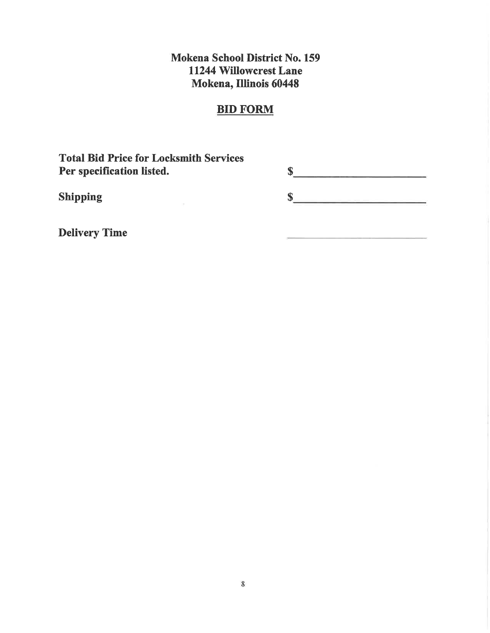## **BID FORM**

**Total Bid Price for Locksmith Services** Per specification listed.

 $\bar{\nu}$ 

 $s$  $\sim$ 

**Shipping** 

**Delivery Time**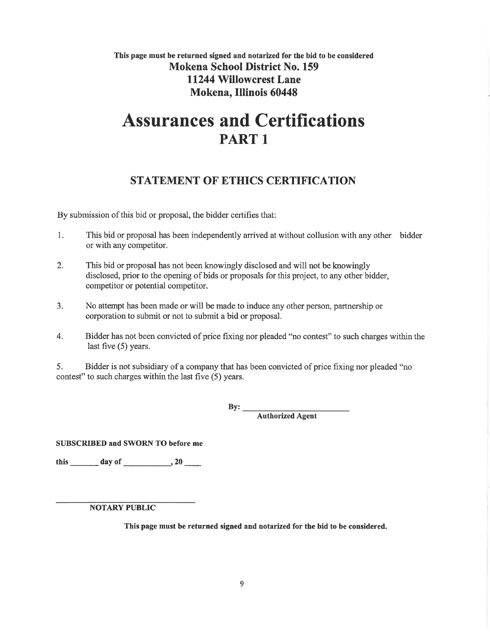## This page must be returned signed and notarized for the bid to be considered Mokena School District No. 159 11244 Willowcrest Lane Mokena, IllÍnois 60448

# Assurances and Certifications PART <sup>1</sup>

# STATEMENT OF ETHICS CERTIFICATION

By submission of this bid or proposal, the bidder certifies that:

- 1. This bid or proposal has been independently arrived at without collusion with any other bidder or with any competitor.
- 2. This bid or proposal has not been knowingly disclosed and will not be knowingly disclosed, prior to the opening of bids or proposals for this project, to any other bidder, competitor or potential competitor.
- 3. No attempt has been made or will be made to induce any other person, partnership or corporation to submit or not to submit a bid or proposal.
- 4. Bidder has not been convicted of price fixing nor pleaded "no contest" to such charges within the last five (5) years.

5. Bidder is not subsidiary of a company that has been convicted of price fixing nor pleaded "no contest" to such charges within the last fìve (5) years.

> Authorized Agent  $By:$

SUBSCRIBED and SWORN TO before me

this  $\qquad \qquad$  day of  $\qquad \qquad$ , 20

**NOTARY PUBLIC** 

This page must be returned signed and notarized for the bid to be considered.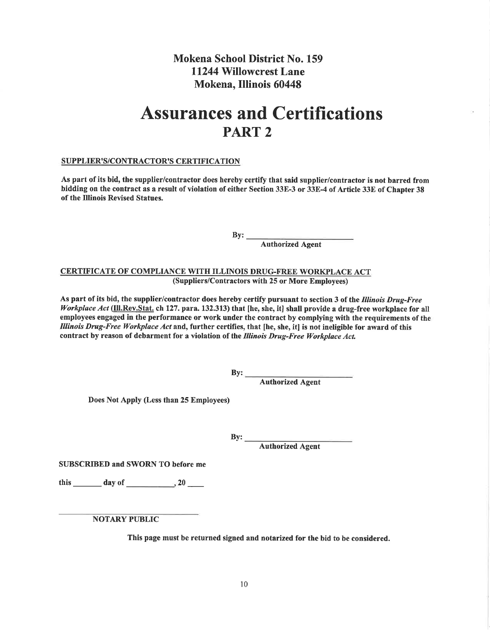# Assurances and Certifications PART 2

#### SUPPLIER'S/CONTRACTOR'S CERTIFICATION

As part of its bid, the supplier/contractor does hereby certify that said supplier/contractor is not barred from bidding on the contract as a result of violation of either Section 33E-3 or 33E-4 of Article 33E of Chapter 38 of the Illinois Revised Statues.

By:

Authorized Agent

CERTIFICATE OF COMPLIANCE WITH ILLINOIS DRUG-FREE WORKPLACE ACT (Suppliers/Contractors with 25 or More Employees)

As part of its bid, the supplier/contractor does hereby certify pursuant to section 3 of the Illinois Drug-Free Workplace Act (Ill.Rev.Stat. ch 127. para. 132.313) that [he, she, it] shall provide a drug-free workplace for all employees engaged in the performance or work under the contract by complying with the requirements of the Illinois Drug-Free Workplace Act and, further certifies, that [he, she, it] is not ineligible for award of this contract by reason of debarment for a violation of the Illinois Drug-Free Workplace Act.

 $By:$ 

Authorized Agent

Does Not Apply (Less than 25 Employees)

 $By:$ 

Authorized Agent

SUBSCRIBED and SWORN TO before me

this  $\_\_\_\_$  day of  $\_\_\_\_$ , 20  $\_\_\_\_$ 

**NOTARY PUBLIC** 

This page must be returned signed and notarized for the bid to be considered.